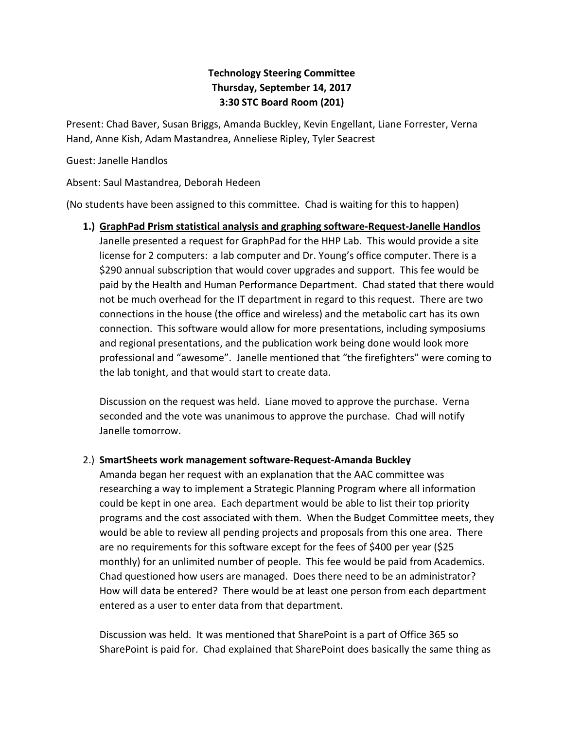# **Technology Steering Committee Thursday, September 14, 2017 3:30 STC Board Room (201)**

Present: Chad Baver, Susan Briggs, Amanda Buckley, Kevin Engellant, Liane Forrester, Verna Hand, Anne Kish, Adam Mastandrea, Anneliese Ripley, Tyler Seacrest

Guest: Janelle Handlos

Absent: Saul Mastandrea, Deborah Hedeen

(No students have been assigned to this committee. Chad is waiting for this to happen)

**1.) GraphPad Prism statistical analysis and graphing software-Request-Janelle Handlos** Janelle presented a request for GraphPad for the HHP Lab. This would provide a site license for 2 computers: a lab computer and Dr. Young's office computer. There is a \$290 annual subscription that would cover upgrades and support. This fee would be paid by the Health and Human Performance Department. Chad stated that there would not be much overhead for the IT department in regard to this request. There are two connections in the house (the office and wireless) and the metabolic cart has its own connection. This software would allow for more presentations, including symposiums and regional presentations, and the publication work being done would look more professional and "awesome". Janelle mentioned that "the firefighters" were coming to the lab tonight, and that would start to create data.

Discussion on the request was held. Liane moved to approve the purchase. Verna seconded and the vote was unanimous to approve the purchase. Chad will notify Janelle tomorrow.

### 2.) **SmartSheets work management software-Request-Amanda Buckley**

Amanda began her request with an explanation that the AAC committee was researching a way to implement a Strategic Planning Program where all information could be kept in one area. Each department would be able to list their top priority programs and the cost associated with them. When the Budget Committee meets, they would be able to review all pending projects and proposals from this one area. There are no requirements for this software except for the fees of \$400 per year (\$25 monthly) for an unlimited number of people. This fee would be paid from Academics. Chad questioned how users are managed. Does there need to be an administrator? How will data be entered? There would be at least one person from each department entered as a user to enter data from that department.

Discussion was held. It was mentioned that SharePoint is a part of Office 365 so SharePoint is paid for. Chad explained that SharePoint does basically the same thing as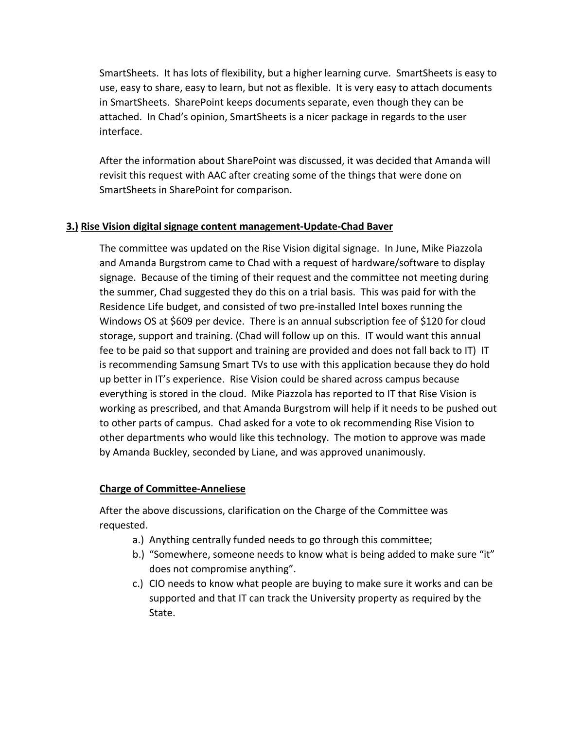SmartSheets. It has lots of flexibility, but a higher learning curve. SmartSheets is easy to use, easy to share, easy to learn, but not as flexible. It is very easy to attach documents in SmartSheets. SharePoint keeps documents separate, even though they can be attached. In Chad's opinion, SmartSheets is a nicer package in regards to the user interface.

After the information about SharePoint was discussed, it was decided that Amanda will revisit this request with AAC after creating some of the things that were done on SmartSheets in SharePoint for comparison.

### **3.) Rise Vision digital signage content management-Update-Chad Baver**

The committee was updated on the Rise Vision digital signage. In June, Mike Piazzola and Amanda Burgstrom came to Chad with a request of hardware/software to display signage. Because of the timing of their request and the committee not meeting during the summer, Chad suggested they do this on a trial basis. This was paid for with the Residence Life budget, and consisted of two pre-installed Intel boxes running the Windows OS at \$609 per device. There is an annual subscription fee of \$120 for cloud storage, support and training. (Chad will follow up on this. IT would want this annual fee to be paid so that support and training are provided and does not fall back to IT) IT is recommending Samsung Smart TVs to use with this application because they do hold up better in IT's experience. Rise Vision could be shared across campus because everything is stored in the cloud. Mike Piazzola has reported to IT that Rise Vision is working as prescribed, and that Amanda Burgstrom will help if it needs to be pushed out to other parts of campus. Chad asked for a vote to ok recommending Rise Vision to other departments who would like this technology. The motion to approve was made by Amanda Buckley, seconded by Liane, and was approved unanimously.

### **Charge of Committee-Anneliese**

After the above discussions, clarification on the Charge of the Committee was requested.

- a.) Anything centrally funded needs to go through this committee;
- b.) "Somewhere, someone needs to know what is being added to make sure "it" does not compromise anything".
- c.) CIO needs to know what people are buying to make sure it works and can be supported and that IT can track the University property as required by the State.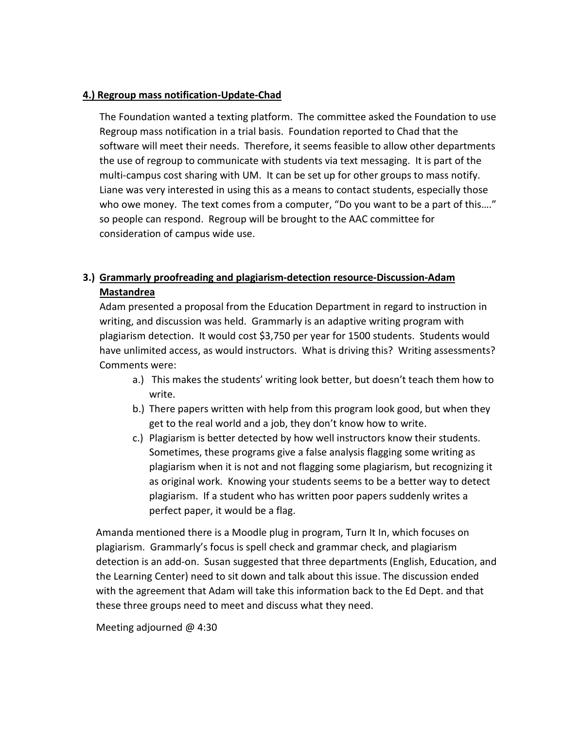#### **4.) Regroup mass notification-Update-Chad**

The Foundation wanted a texting platform. The committee asked the Foundation to use Regroup mass notification in a trial basis. Foundation reported to Chad that the software will meet their needs. Therefore, it seems feasible to allow other departments the use of regroup to communicate with students via text messaging. It is part of the multi-campus cost sharing with UM. It can be set up for other groups to mass notify. Liane was very interested in using this as a means to contact students, especially those who owe money. The text comes from a computer, "Do you want to be a part of this...." so people can respond. Regroup will be brought to the AAC committee for consideration of campus wide use.

## **3.) Grammarly proofreading and plagiarism-detection resource-Discussion-Adam Mastandrea**

Adam presented a proposal from the Education Department in regard to instruction in writing, and discussion was held. Grammarly is an adaptive writing program with plagiarism detection. It would cost \$3,750 per year for 1500 students. Students would have unlimited access, as would instructors. What is driving this? Writing assessments? Comments were:

- a.) This makes the students' writing look better, but doesn't teach them how to write.
- b.) There papers written with help from this program look good, but when they get to the real world and a job, they don't know how to write.
- c.) Plagiarism is better detected by how well instructors know their students. Sometimes, these programs give a false analysis flagging some writing as plagiarism when it is not and not flagging some plagiarism, but recognizing it as original work. Knowing your students seems to be a better way to detect plagiarism. If a student who has written poor papers suddenly writes a perfect paper, it would be a flag.

Amanda mentioned there is a Moodle plug in program, Turn It In, which focuses on plagiarism. Grammarly's focus is spell check and grammar check, and plagiarism detection is an add-on. Susan suggested that three departments (English, Education, and the Learning Center) need to sit down and talk about this issue. The discussion ended with the agreement that Adam will take this information back to the Ed Dept. and that these three groups need to meet and discuss what they need.

Meeting adjourned @ 4:30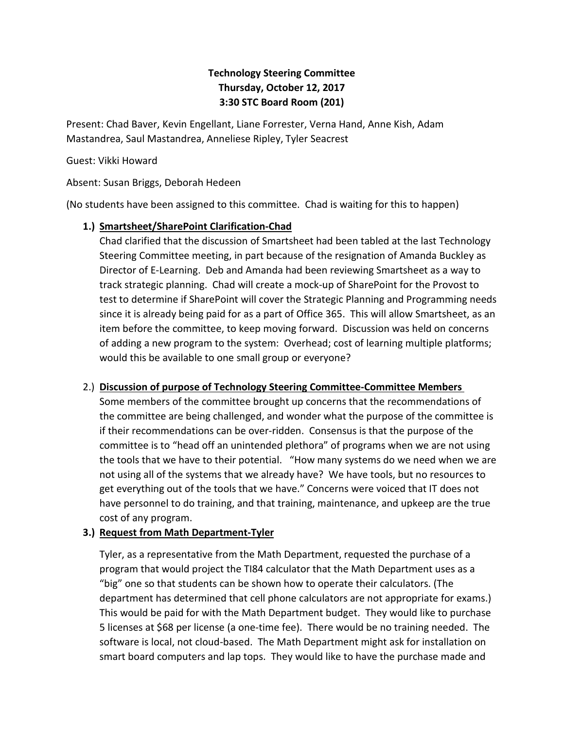# **Technology Steering Committee Thursday, October 12, 2017 3:30 STC Board Room (201)**

Present: Chad Baver, Kevin Engellant, Liane Forrester, Verna Hand, Anne Kish, Adam Mastandrea, Saul Mastandrea, Anneliese Ripley, Tyler Seacrest

#### Guest: Vikki Howard

Absent: Susan Briggs, Deborah Hedeen

(No students have been assigned to this committee. Chad is waiting for this to happen)

### **1.) Smartsheet/SharePoint Clarification-Chad**

Chad clarified that the discussion of Smartsheet had been tabled at the last Technology Steering Committee meeting, in part because of the resignation of Amanda Buckley as Director of E-Learning. Deb and Amanda had been reviewing Smartsheet as a way to track strategic planning. Chad will create a mock-up of SharePoint for the Provost to test to determine if SharePoint will cover the Strategic Planning and Programming needs since it is already being paid for as a part of Office 365. This will allow Smartsheet, as an item before the committee, to keep moving forward. Discussion was held on concerns of adding a new program to the system: Overhead; cost of learning multiple platforms; would this be available to one small group or everyone?

### 2.) **Discussion of purpose of Technology Steering Committee-Committee Members**

Some members of the committee brought up concerns that the recommendations of the committee are being challenged, and wonder what the purpose of the committee is if their recommendations can be over-ridden. Consensus is that the purpose of the committee is to "head off an unintended plethora" of programs when we are not using the tools that we have to their potential. "How many systems do we need when we are not using all of the systems that we already have? We have tools, but no resources to get everything out of the tools that we have." Concerns were voiced that IT does not have personnel to do training, and that training, maintenance, and upkeep are the true cost of any program.

### **3.) Request from Math Department-Tyler**

Tyler, as a representative from the Math Department, requested the purchase of a program that would project the TI84 calculator that the Math Department uses as a "big" one so that students can be shown how to operate their calculators. (The department has determined that cell phone calculators are not appropriate for exams.) This would be paid for with the Math Department budget. They would like to purchase 5 licenses at \$68 per license (a one-time fee). There would be no training needed. The software is local, not cloud-based. The Math Department might ask for installation on smart board computers and lap tops. They would like to have the purchase made and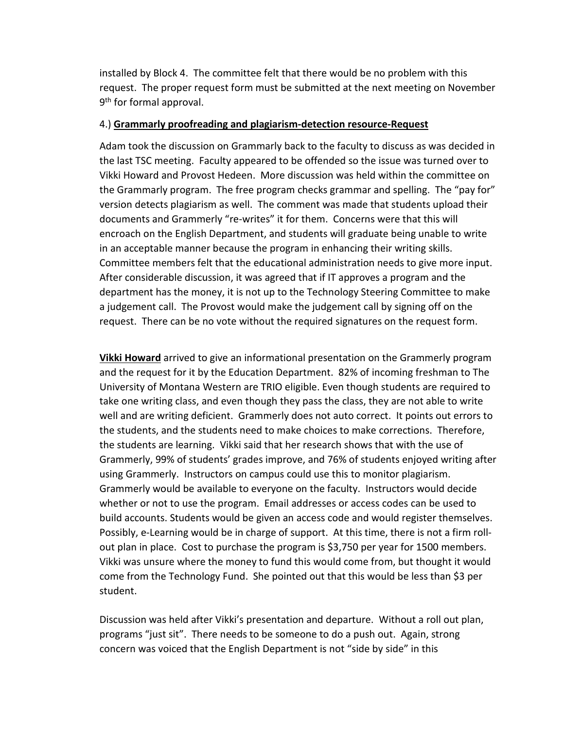installed by Block 4. The committee felt that there would be no problem with this request. The proper request form must be submitted at the next meeting on November 9<sup>th</sup> for formal approval.

#### 4.) **Grammarly proofreading and plagiarism-detection resource-Request**

Adam took the discussion on Grammarly back to the faculty to discuss as was decided in the last TSC meeting. Faculty appeared to be offended so the issue was turned over to Vikki Howard and Provost Hedeen. More discussion was held within the committee on the Grammarly program. The free program checks grammar and spelling. The "pay for" version detects plagiarism as well. The comment was made that students upload their documents and Grammerly "re-writes" it for them. Concerns were that this will encroach on the English Department, and students will graduate being unable to write in an acceptable manner because the program in enhancing their writing skills. Committee members felt that the educational administration needs to give more input. After considerable discussion, it was agreed that if IT approves a program and the department has the money, it is not up to the Technology Steering Committee to make a judgement call. The Provost would make the judgement call by signing off on the request. There can be no vote without the required signatures on the request form.

**Vikki Howard** arrived to give an informational presentation on the Grammerly program and the request for it by the Education Department. 82% of incoming freshman to The University of Montana Western are TRIO eligible. Even though students are required to take one writing class, and even though they pass the class, they are not able to write well and are writing deficient. Grammerly does not auto correct. It points out errors to the students, and the students need to make choices to make corrections. Therefore, the students are learning. Vikki said that her research shows that with the use of Grammerly, 99% of students' grades improve, and 76% of students enjoyed writing after using Grammerly. Instructors on campus could use this to monitor plagiarism. Grammerly would be available to everyone on the faculty. Instructors would decide whether or not to use the program. Email addresses or access codes can be used to build accounts. Students would be given an access code and would register themselves. Possibly, e-Learning would be in charge of support. At this time, there is not a firm rollout plan in place. Cost to purchase the program is \$3,750 per year for 1500 members. Vikki was unsure where the money to fund this would come from, but thought it would come from the Technology Fund. She pointed out that this would be less than \$3 per student.

Discussion was held after Vikki's presentation and departure. Without a roll out plan, programs "just sit". There needs to be someone to do a push out. Again, strong concern was voiced that the English Department is not "side by side" in this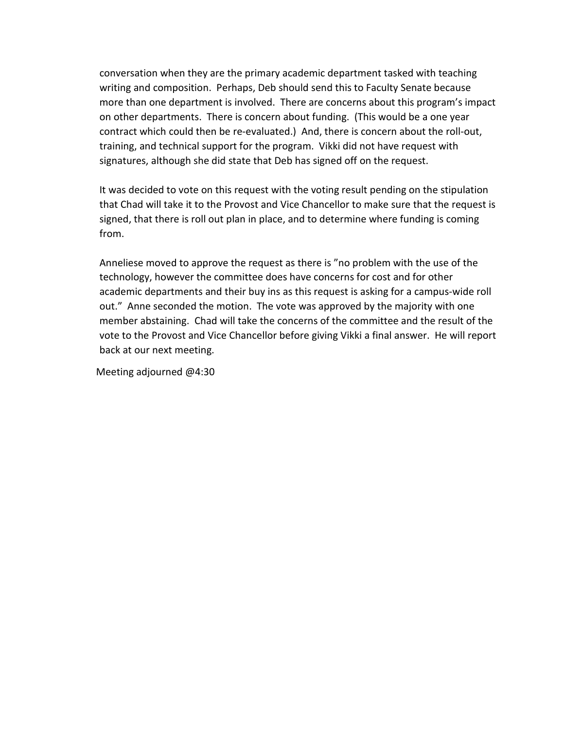conversation when they are the primary academic department tasked with teaching writing and composition. Perhaps, Deb should send this to Faculty Senate because more than one department is involved. There are concerns about this program's impact on other departments. There is concern about funding. (This would be a one year contract which could then be re-evaluated.) And, there is concern about the roll-out, training, and technical support for the program. Vikki did not have request with signatures, although she did state that Deb has signed off on the request.

It was decided to vote on this request with the voting result pending on the stipulation that Chad will take it to the Provost and Vice Chancellor to make sure that the request is signed, that there is roll out plan in place, and to determine where funding is coming from.

Anneliese moved to approve the request as there is "no problem with the use of the technology, however the committee does have concerns for cost and for other academic departments and their buy ins as this request is asking for a campus-wide roll out." Anne seconded the motion. The vote was approved by the majority with one member abstaining. Chad will take the concerns of the committee and the result of the vote to the Provost and Vice Chancellor before giving Vikki a final answer. He will report back at our next meeting.

Meeting adjourned @4:30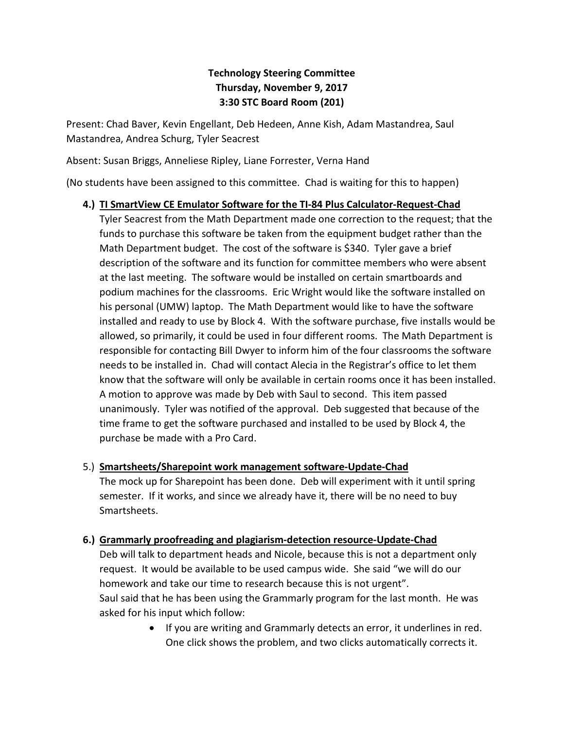# **Technology Steering Committee Thursday, November 9, 2017 3:30 STC Board Room (201)**

Present: Chad Baver, Kevin Engellant, Deb Hedeen, Anne Kish, Adam Mastandrea, Saul Mastandrea, Andrea Schurg, Tyler Seacrest

Absent: Susan Briggs, Anneliese Ripley, Liane Forrester, Verna Hand

(No students have been assigned to this committee. Chad is waiting for this to happen)

### **4.) TI SmartView CE Emulator Software for the TI-84 Plus Calculator-Request-Chad**

Tyler Seacrest from the Math Department made one correction to the request; that the funds to purchase this software be taken from the equipment budget rather than the Math Department budget. The cost of the software is \$340. Tyler gave a brief description of the software and its function for committee members who were absent at the last meeting. The software would be installed on certain smartboards and podium machines for the classrooms. Eric Wright would like the software installed on his personal (UMW) laptop. The Math Department would like to have the software installed and ready to use by Block 4. With the software purchase, five installs would be allowed, so primarily, it could be used in four different rooms. The Math Department is responsible for contacting Bill Dwyer to inform him of the four classrooms the software needs to be installed in. Chad will contact Alecia in the Registrar's office to let them know that the software will only be available in certain rooms once it has been installed. A motion to approve was made by Deb with Saul to second. This item passed unanimously. Tyler was notified of the approval. Deb suggested that because of the time frame to get the software purchased and installed to be used by Block 4, the purchase be made with a Pro Card.

### 5.) **Smartsheets/Sharepoint work management software-Update-Chad**

The mock up for Sharepoint has been done. Deb will experiment with it until spring semester. If it works, and since we already have it, there will be no need to buy Smartsheets.

### **6.) Grammarly proofreading and plagiarism-detection resource-Update-Chad**

Deb will talk to department heads and Nicole, because this is not a department only request. It would be available to be used campus wide. She said "we will do our homework and take our time to research because this is not urgent". Saul said that he has been using the Grammarly program for the last month. He was asked for his input which follow:

> • If you are writing and Grammarly detects an error, it underlines in red. One click shows the problem, and two clicks automatically corrects it.